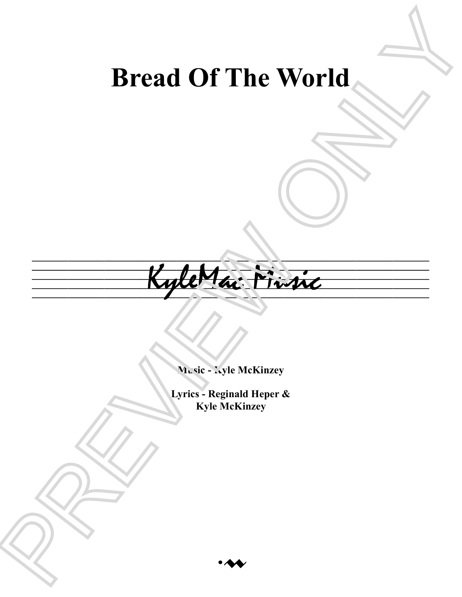## **Bread Of The World**



**Music - Kyle McKinzey**

**Lyrics - Reginald Heper & Kyle McKinzey**

 $\cdot$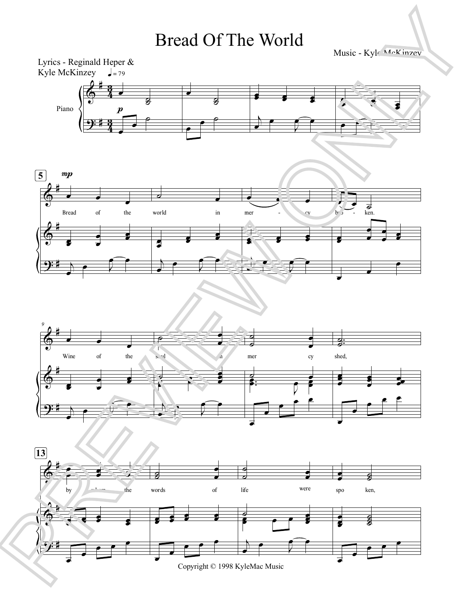## Bread Of The World

Music - Kyle McKinzey

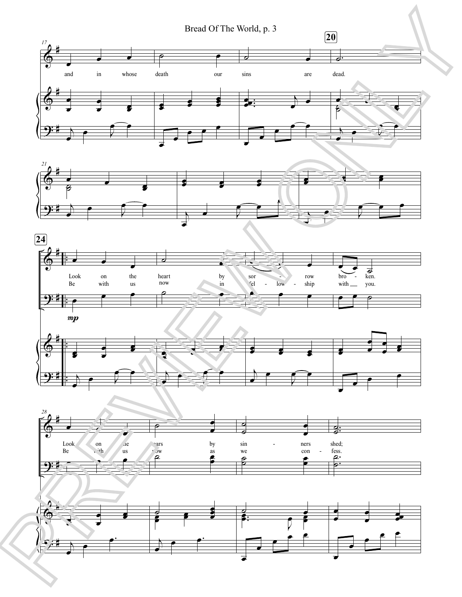Bread Of The World, p. 3









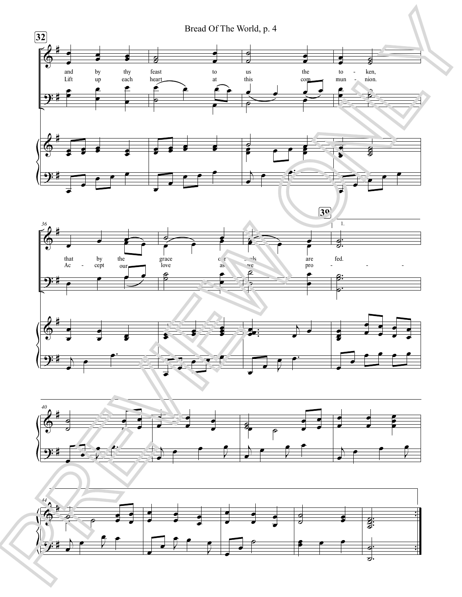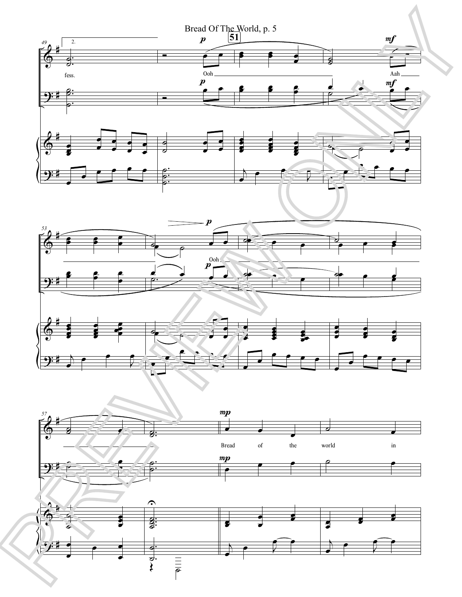